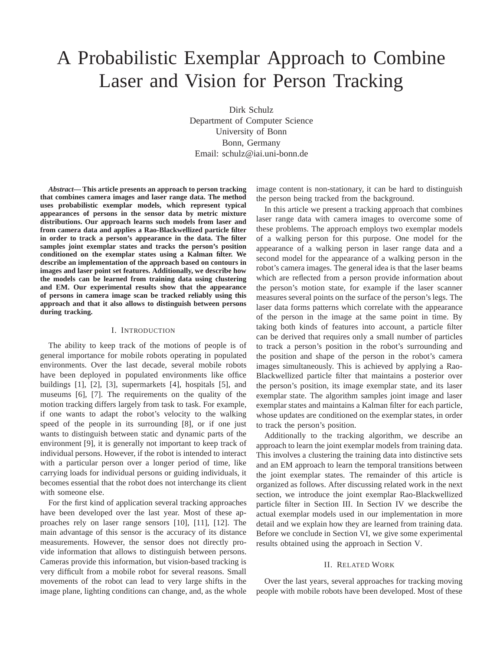# A Probabilistic Exemplar Approach to Combine Laser and Vision for Person Tracking

Dirk Schulz Department of Computer Science University of Bonn Bonn, Germany Email: schulz@iai.uni-bonn.de

*Abstract***— This article presents an approach to person tracking that combines camera images and laser range data. The method uses probabilistic exemplar models, which represent typical appearances of persons in the sensor data by metric mixture distributions. Our approach learns such models from laser and from camera data and applies a Rao-Blackwellized particle filter in order to track a person's appearance in the data. The filter samples joint exemplar states and tracks the person's position conditioned on the exemplar states using a Kalman filter. We describe an implementation of the approach based on contours in images and laser point set features. Additionally, we describe how the models can be learned from training data using clustering and EM. Our experimental results show that the appearance of persons in camera image scan be tracked reliably using this approach and that it also allows to distinguish between persons during tracking.**

#### I. INTRODUCTION

The ability to keep track of the motions of people is of general importance for mobile robots operating in populated environments. Over the last decade, several mobile robots have been deployed in populated environments like office buildings [1], [2], [3], supermarkets [4], hospitals [5], and museums [6], [7]. The requirements on the quality of the motion tracking differs largely from task to task. For example, if one wants to adapt the robot's velocity to the walking speed of the people in its surrounding [8], or if one just wants to distinguish between static and dynamic parts of the environment [9], it is generally not important to keep track of individual persons. However, if the robot is intended to interact with a particular person over a longer period of time, like carrying loads for individual persons or guiding individuals, it becomes essential that the robot does not interchange its client with someone else.

For the first kind of application several tracking approaches have been developed over the last year. Most of these approaches rely on laser range sensors [10], [11], [12]. The main advantage of this sensor is the accuracy of its distance measurements. However, the sensor does not directly provide information that allows to distinguish between persons. Cameras provide this information, but vision-based tracking is very difficult from a mobile robot for several reasons. Small movements of the robot can lead to very large shifts in the image plane, lighting conditions can change, and, as the whole

image content is non-stationary, it can be hard to distinguish the person being tracked from the background.

In this article we present a tracking approach that combines laser range data with camera images to overcome some of these problems. The approach employs two exemplar models of a walking person for this purpose. One model for the appearance of a walking person in laser range data and a second model for the appearance of a walking person in the robot's camera images. The general idea is that the laser beams which are reflected from a person provide information about the person's motion state, for example if the laser scanner measures several points on the surface of the person's legs. The laser data forms patterns which correlate with the appearance of the person in the image at the same point in time. By taking both kinds of features into account, a particle filter can be derived that requires only a small number of particles to track a person's position in the robot's surrounding and the position and shape of the person in the robot's camera images simultaneously. This is achieved by applying a Rao-Blackwellized particle filter that maintains a posterior over the person's position, its image exemplar state, and its laser exemplar state. The algorithm samples joint image and laser exemplar states and maintains a Kalman filter for each particle, whose updates are conditioned on the exemplar states, in order to track the person's position.

Additionally to the tracking algorithm, we describe an approach to learn the joint exemplar models from training data. This involves a clustering the training data into distinctive sets and an EM approach to learn the temporal transitions between the joint exemplar states. The remainder of this article is organized as follows. After discussing related work in the next section, we introduce the joint exemplar Rao-Blackwellized particle filter in Section III. In Section IV we describe the actual exemplar models used in our implementation in more detail and we explain how they are learned from training data. Before we conclude in Section VI, we give some experimental results obtained using the approach in Section V.

## II. RELATED WORK

Over the last years, several approaches for tracking moving people with mobile robots have been developed. Most of these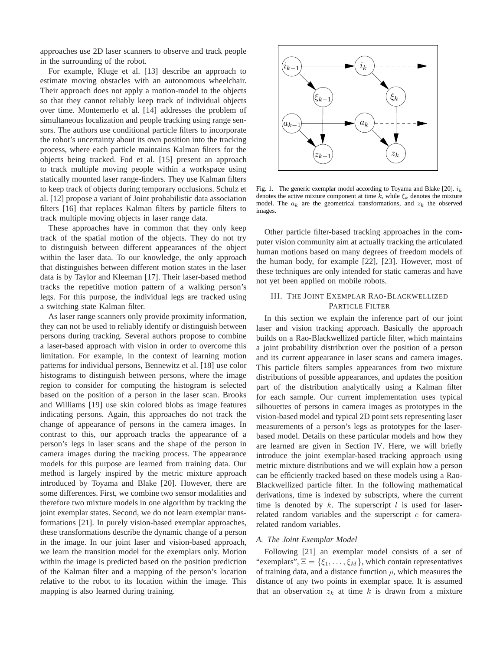approaches use 2D laser scanners to observe and track people in the surrounding of the robot.

For example, Kluge et al. [13] describe an approach to estimate moving obstacles with an autonomous wheelchair. Their approach does not apply a motion-model to the objects so that they cannot reliably keep track of individual objects over time. Montemerlo et al. [14] addresses the problem of simultaneous localization and people tracking using range sensors. The authors use conditional particle filters to incorporate the robot's uncertainty about its own position into the tracking process, where each particle maintains Kalman filters for the objects being tracked. Fod et al. [15] present an approach to track multiple moving people within a workspace using statically mounted laser range-finders. They use Kalman filters to keep track of objects during temporary occlusions. Schulz et al. [12] propose a variant of Joint probabilistic data association filters [16] that replaces Kalman filters by particle filters to track multiple moving objects in laser range data.

These approaches have in common that they only keep track of the spatial motion of the objects. They do not try to distinguish between different appearances of the object within the laser data. To our knowledge, the only approach that distinguishes between different motion states in the laser data is by Taylor and Kleeman [17]. Their laser-based method tracks the repetitive motion pattern of a walking person's legs. For this purpose, the individual legs are tracked using a switching state Kalman filter.

As laser range scanners only provide proximity information, they can not be used to reliably identify or distinguish between persons during tracking. Several authors propose to combine a laser-based approach with vision in order to overcome this limitation. For example, in the context of learning motion patterns for individual persons, Bennewitz et al. [18] use color histograms to distinguish between persons, where the image region to consider for computing the histogram is selected based on the position of a person in the laser scan. Brooks and Williams [19] use skin colored blobs as image features indicating persons. Again, this approaches do not track the change of appearance of persons in the camera images. In contrast to this, our approach tracks the appearance of a person's legs in laser scans and the shape of the person in camera images during the tracking process. The appearance models for this purpose are learned from training data. Our method is largely inspired by the metric mixture approach introduced by Toyama and Blake [20]. However, there are some differences. First, we combine two sensor modalities and therefore two mixture models in one algorithm by tracking the joint exemplar states. Second, we do not learn exemplar transformations [21]. In purely vision-based exemplar approaches, these transformations describe the dynamic change of a person in the image. In our joint laser and vision-based approach, we learn the transition model for the exemplars only. Motion within the image is predicted based on the position prediction of the Kalman filter and a mapping of the person's location relative to the robot to its location within the image. This mapping is also learned during training.



Fig. 1. The generic exemplar model according to Toyama and Blake [20].  $i_k$ denotes the active mixture component at time k, while  $\xi_k$  denotes the mixture model. The  $a_k$  are the geometrical transformations, and  $z_k$  the observed images.

Other particle filter-based tracking approaches in the computer vision community aim at actually tracking the articulated human motions based on many degrees of freedom models of the human body, for example [22], [23]. However, most of these techniques are only intended for static cameras and have not yet been applied on mobile robots.

# III. THE JOINT EXEMPLAR RAO-BLACKWELLIZED PARTICLE FILTER

In this section we explain the inference part of our joint laser and vision tracking approach. Basically the approach builds on a Rao-Blackwellized particle filter, which maintains a joint probability distribution over the position of a person and its current appearance in laser scans and camera images. This particle filters samples appearances from two mixture distributions of possible appearances, and updates the position part of the distribution analytically using a Kalman filter for each sample. Our current implementation uses typical silhouettes of persons in camera images as prototypes in the vision-based model and typical 2D point sets representing laser measurements of a person's legs as prototypes for the laserbased model. Details on these particular models and how they are learned are given in Section IV. Here, we will briefly introduce the joint exemplar-based tracking approach using metric mixture distributions and we will explain how a person can be efficiently tracked based on these models using a Rao-Blackwellized particle filter. In the following mathematical derivations, time is indexed by subscripts, where the current time is denoted by  $k$ . The superscript  $l$  is used for laserrelated random variables and the superscript  $c$  for camerarelated random variables.

### *A. The Joint Exemplar Model*

Following [21] an exemplar model consists of a set of "exemplars",  $\Xi = {\xi_1, \ldots, \xi_M}$ , which contain representatives of training data, and a distance function  $\rho$ , which measures the distance of any two points in exemplar space. It is assumed that an observation  $z_k$  at time k is drawn from a mixture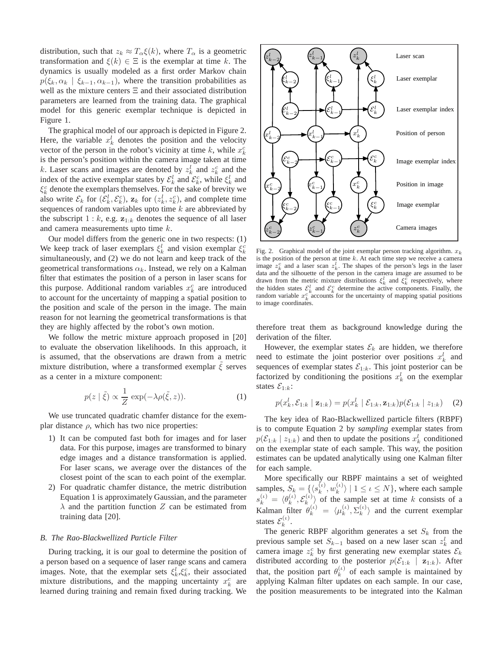distribution, such that  $z_k \approx T_\alpha \xi(k)$ , where  $T_\alpha$  is a geometric transformation and  $\xi(k) \in \Xi$  is the exemplar at time k. The dynamics is usually modeled as a first order Markov chain  $p(\xi_k, \alpha_k | \xi_{k-1}, \alpha_{k-1})$ , where the transition probabilities as well as the mixture centers Ξ and their associated distribution parameters are learned from the training data. The graphical model for this generic exemplar technique is depicted in Figure 1.

The graphical model of our approach is depicted in Figure 2. Here, the variable  $x_k^l$  denotes the position and the velocity vector of the person in the robot's vicinity at time k, while  $x_k^c$ is the person's position within the camera image taken at time k. Laser scans and images are denoted by  $z_k^l$  and  $z_k^c$  and the index of the active exemplar states by  $\mathcal{E}_{k}^{l}$  and  $\mathcal{E}_{k}^{c}$ , while  $\xi_{k}^{l}$  and  $\xi_k^c$  denote the exemplars themselves. For the sake of brevity we also write  $\mathcal{E}_k$  for  $(\mathcal{E}_k^l, \mathcal{E}_k^c)$ ,  $\mathbf{z}_k$  for  $(z_k^l, z_k^c)$ , and complete time sequences of random variables upto time  $k$  are abbreviated by the subscript  $1 : k$ , e.g.  $z_{1:k}$  denotes the sequence of all laser and camera measurements upto time k.

Our model differs from the generic one in two respects: (1) We keep track of laser exemplars  $\xi_k^l$  and vision exemplar  $\xi_k^c$ simultaneously, and (2) we do not learn and keep track of the geometrical transformations  $\alpha_k$ . Instead, we rely on a Kalman filter that estimates the position of a person in laser scans for this purpose. Additional random variables  $x_k^c$  are introduced to account for the uncertainty of mapping a spatial position to the position and scale of the person in the image. The main reason for not learning the geometrical transformations is that they are highly affected by the robot's own motion.

We follow the metric mixture approach proposed in [20] to evaluate the observation likelihoods. In this approach, it is assumed, that the observations are drawn from a metric mixture distribution, where a transformed exemplar  $\zeta$  serves as a center in a mixture component:

$$
p(z \mid \tilde{\xi}) \propto \frac{1}{Z} \exp(-\lambda \rho(\tilde{\xi}, z)).
$$
 (1)

We use truncated quadratic chamfer distance for the exemplar distance  $\rho$ , which has two nice properties:

- 1) It can be computed fast both for images and for laser data. For this purpose, images are transformed to binary edge images and a distance transformation is applied. For laser scans, we average over the distances of the closest point of the scan to each point of the exemplar.
- 2) For quadratic chamfer distance, the metric distribution Equation 1 is approximately Gaussian, and the parameter  $\lambda$  and the partition function Z can be estimated from training data [20].

## *B. The Rao-Blackwellized Particle Filter*

During tracking, it is our goal to determine the position of a person based on a sequence of laser range scans and camera images. Note, that the exemplar sets  $\xi_k^l, \xi_k^c$ , their associated mixture distributions, and the mapping uncertainty  $x_k^c$  are learned during training and remain fixed during tracking. We



Fig. 2. Graphical model of the joint exemplar person tracking algorithm.  $x_k$ is the position of the person at time  $k$ . At each time step we receive a camera image  $z_k^c$  and a laser scan  $z_k^l$ . The shapes of the person's legs in the laser data and the silhouette of the person in the camera image are assumed to be drawn from the metric mixture distributions  $\xi_k^l$  and  $\xi_k^c$  respectively, where the hidden states  $\mathcal{E}_k^l$  and  $\mathcal{E}_k^c$  determine the active components. Finally, the random variable  $x_k^c$  accounts for the uncertainty of mapping spatial positions to image coordinates.

therefore treat them as background knowledge during the derivation of the filter.

However, the exemplar states  $\mathcal{E}_k$  are hidden, we therefore need to estimate the joint posterior over positions  $x_k^l$  and sequences of exemplar states  $\mathcal{E}_{1:k}$ . This joint posterior can be factorized by conditioning the positions  $x_k^l$  on the exemplar states  $\mathcal{E}_{1:k}$ :

$$
p(x_k^l, \mathcal{E}_{1:k} | \mathbf{z}_{1:k}) = p(x_k^l | \mathcal{E}_{1:k}, \mathbf{z}_{1:k}) p(\mathcal{E}_{1:k} | z_{1:k})
$$
 (2)

The key idea of Rao-Blackwellized particle filters (RBPF) is to compute Equation 2 by *sampling* exemplar states from  $p(\mathcal{E}_{1:k} | z_{1:k})$  and then to update the positions  $x_k^l$  conditioned on the exemplar state of each sample. This way, the position estimates can be updated analytically using one Kalman filter for each sample.

More specifically our RBPF maintains a set of weighted samples,  $S_k = \{ \langle s_k^{(i)}, w_k^{(i)} \rangle \mid 1 \leq \iota \leq N \},\$  where each sample  $s_k^{(i)} = \langle \theta_k^{(i)}, \mathcal{E}_k^{(i)} \rangle$  of the sample set at time k consists of a Kalman filter  $\theta_k^{(i)} = \langle \mu_k^{(i)}, \Sigma_k^{(i)} \rangle$  and the current exemplar states  $\mathcal{E}_k^{(\iota)}$ .

The generic RBPF algorithm generates a set  $S_k$  from the previous sample set  $S_{k-1}$  based on a new laser scan  $z_k^l$  and camera image  $z_k^c$  by first generating new exemplar states  $\mathcal{E}_k$ distributed according to the posterior  $p(\mathcal{E}_{1:k} | \mathbf{z}_{1:k})$ . After that, the position part  $\theta_k^{(\iota)}$  of each sample is maintained by applying Kalman filter updates on each sample. In our case, the position measurements to be integrated into the Kalman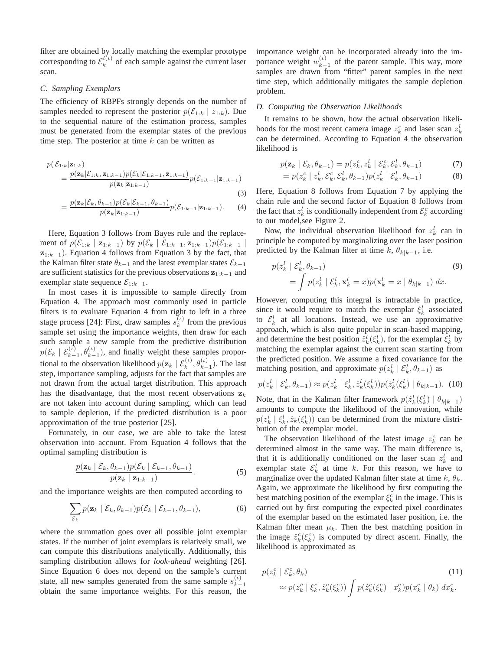filter are obtained by locally matching the exemplar prototype corresponding to  $\mathcal{E}_k^{l(\iota)}$  of each sample against the current laser scan.

#### *C. Sampling Exemplars*

The efficiency of RBPFs strongly depends on the number of samples needed to represent the posterior  $p(\mathcal{E}_{1:k} | z_{1:k})$ . Due to the sequential nature of the estimation process, samples must be generated from the exemplar states of the previous time step. The posterior at time  $k$  can be written as

$$
p(\mathcal{E}_{1:k}|\mathbf{z}_{1:k}) = \frac{p(\mathbf{z}_k|\mathcal{E}_{1:k}, \mathbf{z}_{1:k-1})p(\mathcal{E}_k|\mathcal{E}_{1:k-1}, \mathbf{z}_{1:k-1})}{p(\mathbf{z}_k|\mathbf{z}_{1:k-1})}p(\mathcal{E}_{1:k-1}|\mathbf{z}_{1:k-1})
$$
\n(3)

$$
= \frac{p(\mathbf{z}_k|\mathcal{E}_k, \theta_{k-1})p(\mathcal{E}_k|\mathcal{E}_{k-1}, \theta_{k-1})}{p(\mathbf{z}_k|\mathbf{z}_{1:k-1})}p(\mathcal{E}_{1:k-1}|\mathbf{z}_{1:k-1}).
$$
 (4)

Here, Equation 3 follows from Bayes rule and the replacement of  $p(\mathcal{E}_{1:k} | \mathbf{z}_{1:k-1})$  by  $p(\mathcal{E}_k | \mathcal{E}_{1:k-1}, \mathbf{z}_{1:k-1}) p(\mathcal{E}_{1:k-1} |$  $z_{1:k-1}$ ). Equation 4 follows from Equation 3 by the fact, that the Kalman filter state  $\theta_{k-1}$  and the latest exemplar states  $\mathcal{E}_{k-1}$ are sufficient statistics for the previous observations  $z_{1:k-1}$  and exemplar state sequence  $\mathcal{E}_{1:k-1}$ .

In most cases it is impossible to sample directly from Equation 4. The approach most commonly used in particle filters is to evaluate Equation 4 from right to left in a three stage process [24]: First, draw samples  $s_k^{(\iota)}$  from the previous sample set using the importance weights, then draw for each such sample a new sample from the predictive distribution  $p(\mathcal{E}_k | \mathcal{E}_{k-1}^{(i)}, \theta_{k-1}^{(i)})$ , and finally weight these samples proportional to the observation likelihood  $p(\mathbf{z}_k | \mathcal{E}_k^{(\iota)}, \theta_{k-1}^{(\iota)})$ . The last step, importance sampling, adjusts for the fact that samples are not drawn from the actual target distribution. This approach has the disadvantage, that the most recent observations  $z_k$ are not taken into account during sampling, which can lead to sample depletion, if the predicted distribution is a poor approximation of the true posterior [25].

Fortunately, in our case, we are able to take the latest observation into account. From Equation 4 follows that the optimal sampling distribution is

$$
\frac{p(\mathbf{z}_k \mid \mathcal{E}_k, \theta_{k-1}) p(\mathcal{E}_k \mid \mathcal{E}_{k-1}, \theta_{k-1})}{p(\mathbf{z}_k \mid \mathbf{z}_{1:k-1})}.
$$
\n(5)

and the importance weights are then computed according to

$$
\sum_{\mathcal{E}_k} p(\mathbf{z}_k \mid \mathcal{E}_k, \theta_{k-1}) p(\mathcal{E}_k \mid \mathcal{E}_{k-1}, \theta_{k-1}), \tag{6}
$$

where the summation goes over all possible joint exemplar states. If the number of joint exemplars is relatively small, we can compute this distributions analytically. Additionally, this sampling distribution allows for *look-ahead* weighting [26]. Since Equation 6 does not depend on the sample's current state, all new samples generated from the same sample  $s_{k-1}^{(t)}$  $k-1$ obtain the same importance weights. For this reason, the importance weight can be incorporated already into the importance weight  $w_{k-1}^{(\iota)}$  $\binom{t}{k-1}$  of the parent sample. This way, more samples are drawn from "fitter" parent samples in the next time step, which additionally mitigates the sample depletion problem.

#### *D. Computing the Observation Likelihoods*

It remains to be shown, how the actual observation likelihoods for the most recent camera image  $z_k^c$  and laser scan  $z_k^l$ can be determined. According to Equation 4 the observation likelihood is

$$
p(\mathbf{z}_k \mid \mathcal{E}_k, \theta_{k-1}) = p(z_k^c, z_k^l \mid \mathcal{E}_k^c, \mathcal{E}_k^l, \theta_{k-1})
$$
\n(7)

$$
= p(z_k^c \mid z_k^l, \mathcal{E}_k^c, \mathcal{E}_k^l, \theta_{k-1}) p(z_k^l \mid \mathcal{E}_k^l, \theta_{k-1})
$$
\n(8)

Here, Equation 8 follows from Equation 7 by applying the chain rule and the second factor of Equation 8 follows from the fact that  $z_k^l$  is conditionally independent from  $\mathcal{E}_k^c$  according to our model,see Figure 2.

Now, the individual observation likelihood for  $z_k^l$  can in principle be computed by marginalizing over the laser position predicted by the Kalman filter at time k,  $\theta_{k|k-1}$ , i.e.

$$
p(z_k^l \mid \mathcal{E}_k^l, \theta_{k-1})
$$
  
= 
$$
\int p(z_k^l \mid \mathcal{E}_k^l, \mathbf{x}_k^l = x) p(\mathbf{x}_k^l = x \mid \theta_{k|k-1}) dx.
$$
 (9)

However, computing this integral is intractable in practice, since it would require to match the exemplar  $\xi_k^l$  associated to  $\mathcal{E}_{k}^{l}$  at all locations. Instead, we use an approximative approach, which is also quite popular in scan-based mapping, and determine the best position  $\hat{z}_k^l(\xi_k^l)$ , for the exemplar  $\hat{\zeta}_k^l$  by matching the exemplar against the current scan starting from the predicted position. We assume a fixed covariance for the matching position, and approximate  $p(z_k^l | \mathcal{E}_k^l, \theta_{k-1})$  as

$$
p(z_k^l | \mathcal{E}_k^l, \theta_{k-1}) \approx p(z_k^l | \xi_k^l, \hat{z}_k^l(\xi_k^l)) p(\hat{z}_k^l(\xi_k^l) | \theta_{k|k-1}). \tag{10}
$$

Note, that in the Kalman filter framework  $p(\hat{z}_k^l(\xi_k^l) | \theta_{k|k-1})$ amounts to compute the likelihood of the innovation, while  $p(z_k^l | \xi_k^l, \hat{z}_k(\xi_k^l))$  can be determined from the mixture distribution of the exemplar model.

The observation likelihood of the latest image  $z_k^c$  can be determined almost in the same way. The main difference is, that it is additionally conditioned on the laser scan  $z<sub>k</sub><sup>l</sup>$  and exemplar state  $\mathcal{E}_k^l$  at time k. For this reason, we have to marginalize over the updated Kalman filter state at time  $k, \theta_k$ . Again, we approximate the likelihood by first computing the best matching position of the exemplar  $\xi_k^c$  in the image. This is carried out by first computing the expected pixel coordinates of the exemplar based on the estimated laser position, i.e. the Kalman filter mean  $\mu_k$ . Then the best matching position in the image  $\hat{z}_k^c(\xi_k^c)$  is computed by direct ascent. Finally, the likelihood is approximated as

$$
p(z_k^c | \mathcal{E}_k^c, \theta_k)
$$
\n
$$
\approx p(z_k^c | \xi_k^c, \hat{z}_k^c(\xi_k^c)) \int p(\hat{z}_k^c(\xi_k^c) | x_k^c) p(x_k^c | \theta_k) dx_k^c.
$$
\n(11)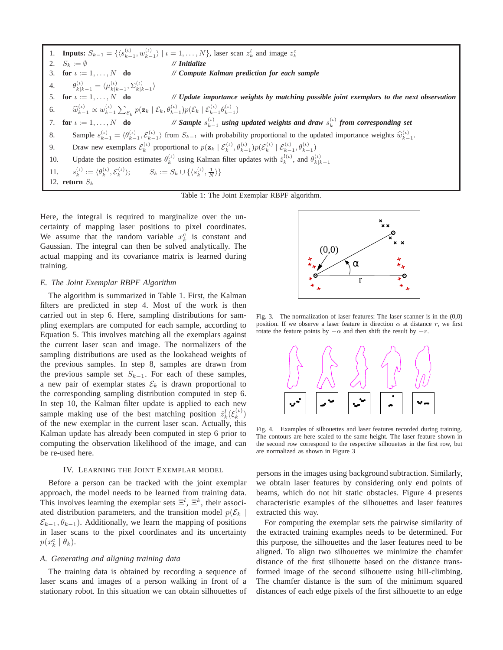1. **Inputs:**  $S_{k-1} = \{ \langle s_{k-1}^{(i)}, w_{k-1}^{(i)} \rangle \mid \iota = 1, ..., N \},$  laser scan  $z_k^l$  and image  $z_k^c$ 2.  $S_k := \emptyset$  // *Initialize*<br>3. for  $\iota := 1, ..., N$  do // *Compute* 3. **for**  $\iota := 1, \ldots, N$  **do** *// Compute Kalman prediction for each sample* 4.  $\theta_{k|k-1}^{(\iota)} = \langle \mu_{k|k-1}^{(\iota)}, \Sigma_{k|k-1}^{(\iota)} \rangle$ 5. **for** ι := 1, . . . , N **do** *// Update importance weights by matching possible joint exemplars to the next observation* 6.  $\widehat{w}_{k-1}^{(\iota)} \propto w_{k-1}^{(\iota)} \sum_{\mathcal{E}_k} p(\mathbf{z}_k \mid \mathcal{E}_k, \theta_{k-1}^{(\iota)}) p(\mathcal{E}_k \mid \mathcal{E}_{k-1}^{(\iota)} \theta_{k-1}^{(\iota)})$ 7. **for**  $\iota := 1, \ldots, N$  **do**  $\binom{(t)}{k-1}$  using updated weights and draw  $s_k^{(t)}$  from corresponding set 8. Sample  $s_{k-1}^{(\iota)} = \langle \theta_{k-1}^{(\iota)}, \mathcal{E}_{k-1}^{(\iota)} \rangle$  from  $S_{k-1}$  with probability proportional to the updated importance weights  $\widehat{w}_{k-1}^{(\iota)}$ . 9. Draw new exemplars  $\mathcal{E}_k^{(\iota)}$  proportional to  $p(\mathbf{z}_k | \mathcal{E}_k^{(\iota)}, \theta_{k-1}^{(\iota)}) p(\mathcal{E}_k^{(\iota)} | \mathcal{E}_{k-1}^{(\iota)}, \theta_{k-1}^{(\iota)})$ 10. Update the position estimates  $\theta_k^{(\iota)}$  using Kalman filter updates with  $\hat{z}_k^{(l(\iota))}$ , and  $\theta_{k|k-1}^{(l)}$ 11.  $\mathcal{L}_{k}^{(\iota)} := \langle \theta_k^{(\iota)}, \mathcal{E}_k^{(\iota)} \rangle$  $\langle s_k^k := S_k \cup \{ \langle s_k^{(k)}, \frac{1}{N} \rangle \}$ 12. **return**  $S_k$ Table 1: The Joint Exemplar RBPF algorithm.

Here, the integral is required to marginalize over the uncertainty of mapping laser positions to pixel coordinates. We assume that the random variable  $x_k^c$  is constant and Gaussian. The integral can then be solved analytically. The actual mapping and its covariance matrix is learned during training.

## *E. The Joint Exemplar RBPF Algorithm*

The algorithm is summarized in Table 1. First, the Kalman filters are predicted in step 4. Most of the work is then carried out in step 6. Here, sampling distributions for sampling exemplars are computed for each sample, according to Equation 5. This involves matching all the exemplars against the current laser scan and image. The normalizers of the sampling distributions are used as the lookahead weights of the previous samples. In step 8, samples are drawn from the previous sample set  $S_{k-1}$ . For each of these samples, a new pair of exemplar states  $\mathcal{E}_k$  is drawn proportional to the corresponding sampling distribution computed in step 6. In step 10, the Kalman filter update is applied to each new sample making use of the best matching position  $\hat{z}_k^l(\xi_k^{(\iota)})$ of the new exemplar in the current laser scan. Actually, this Kalman update has already been computed in step 6 prior to computing the observation likelihood of the image, and can be re-used here.

## IV. LEARNING THE JOINT EXEMPLAR MODEL

Before a person can be tracked with the joint exemplar approach, the model needs to be learned from training data. This involves learning the exemplar sets  $\Xi^l$ ,  $\Xi^k$ , their associated distribution parameters, and the transition model  $p(\mathcal{E}_k | \mathbf{z})$  $\mathcal{E}_{k-1}, \theta_{k-1}$ ). Additionally, we learn the mapping of positions in laser scans to the pixel coordinates and its uncertainty  $p(x_k^c | \theta_k)$ .

#### *A. Generating and aligning training data*

The training data is obtained by recording a sequence of laser scans and images of a person walking in front of a stationary robot. In this situation we can obtain silhouettes of



Fig. 3. The normalization of laser features: The laser scanner is in the (0,0) position. If we observe a laser feature in direction  $\alpha$  at distance r, we first rotate the feature points by  $-\alpha$  and then shift the result by  $-r$ .



Fig. 4. Examples of silhouettes and laser features recorded during training. The contours are here scaled to the same height. The laser feature shown in the second row correspond to the respective silhouettes in the first row, but are normalized as shown in Figure 3

persons in the images using background subtraction. Similarly, we obtain laser features by considering only end points of beams, which do not hit static obstacles. Figure 4 presents characteristic examples of the silhouettes and laser features extracted this way.

For computing the exemplar sets the pairwise similarity of the extracted training examples needs to be determined. For this purpose, the silhouettes and the laser features need to be aligned. To align two silhouettes we minimize the chamfer distance of the first silhouette based on the distance transformed image of the second silhouette using hill-climbing. The chamfer distance is the sum of the minimum squared distances of each edge pixels of the first silhouette to an edge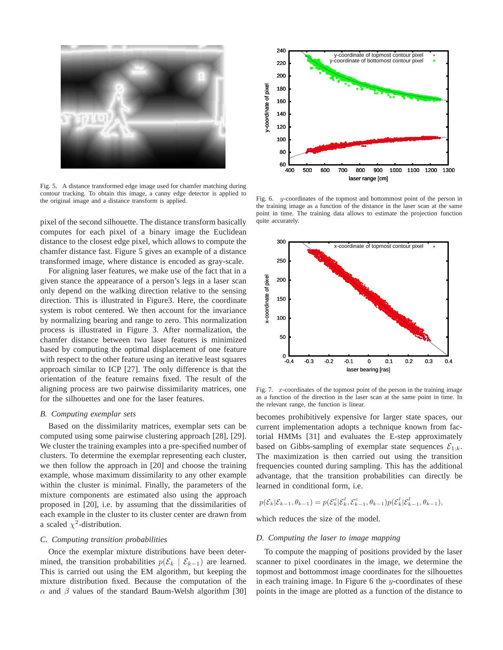

Fig. 5. A distance transformed edge image used for chamfer matching during contour tracking. To obtain this image, a canny edge detector is applied to the original image and a distance transform is applied.

pixel of the second silhouette. The distance transform basically computes for each pixel of a binary image the Euclidean distance to the closest edge pixel, which allows to compute the chamfer distance fast. Figure 5 gives an example of a distance transformed image, where distance is encoded as gray-scale.

For aligning laser features, we make use of the fact that in a given stance the appearance of a person's legs in a laser scan only depend on the walking direction relative to the sensing direction. This is illustrated in Figure3. Here, the coordinate system is robot centered. We then account for the invariance by normalizing bearing and range to zero. This normalization process is illustrated in Figure 3. After normalization, the chamfer distance between two laser features is minimized based by computing the optimal displacement of one feature with respect to the other feature using an iterative least squares approach similar to ICP [27]. The only difference is that the orientation of the feature remains fixed. The result of the aligning process are two pairwise dissimilarity matrices, one for the silhouettes and one for the laser features.

#### *B. Computing exemplar sets*

Based on the dissimilarity matrices, exemplar sets can be computed using some pairwise clustering approach [28], [29]. We cluster the training examples into a pre-specified number of clusters. To determine the exemplar representing each cluster, we then follow the approach in [20] and choose the training example, whose maximum dissimilarity to any other example within the cluster is minimal. Finally, the parameters of the mixture components are estimated also using the approach proposed in [20], i.e. by assuming that the dissimilarities of each example in the cluster to its cluster center are drawn from a scaled  $\chi^2$ -distribution.

#### *C. Computing transition probabilities*

Once the exemplar mixture distributions have been determined, the transition probabilities  $p(\mathcal{E}_k | \mathcal{E}_{k-1})$  are learned. This is carried out using the EM algorithm, but keeping the mixture distribution fixed. Because the computation of the  $\alpha$  and  $\beta$  values of the standard Baum-Welsh algorithm [30]



Fig. 6. y-coordinates of the topmost and bottommost point of the person in the training image as a function of the distance in the laser scan at the same point in time. The training data allows to estimate the projection function quite accurately



Fig. 7.  $x$ -coordinates of the topmost point of the person in the training image as a function of the direction in the laser scan at the same point in time. In the relevant range, the function is linear.

becomes prohibitively expensive for larger state spaces, our current implementation adopts a technique known from factorial HMMs [31] and evaluates the E-step approximately based on Gibbs-sampling of exemplar state sequences  $\mathcal{E}_{1:k}$ . The maximization is then carried out using the transition frequencies counted during sampling. This has the additional advantage, that the transition probabilities can directly be learned in conditional form, i.e.

$$
p(\mathcal{E}_k|\mathcal{E}_{k-1},\theta_{k-1})=p(\mathcal{E}_k^c|\mathcal{E}_k^l,\mathcal{E}_{k-1}^c,\theta_{k-1})p(\mathcal{E}_k^l|\mathcal{E}_{k-1}^l,\theta_{k-1}),
$$

which reduces the size of the model.

## *D. Computing the laser to image mapping*

To compute the mapping of positions provided by the laser scanner to pixel coordinates in the image, we determine the topmost and bottommost image coordinates for the silhouettes in each training image. In Figure  $6$  the  $y$ -coordinates of these points in the image are plotted as a function of the distance to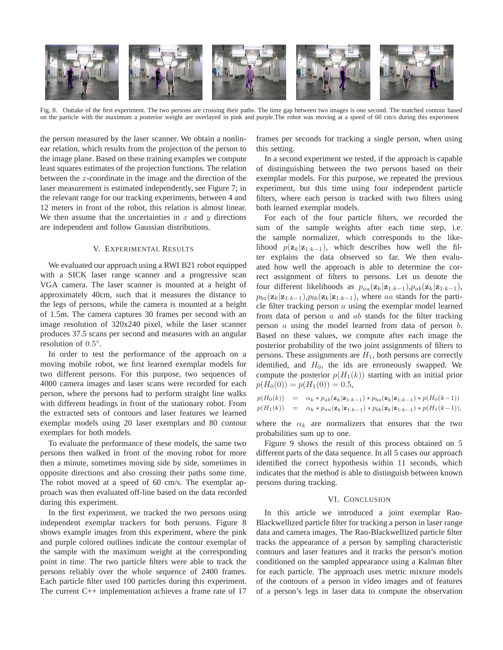

Fig. 8. Outtake of the first experiment. The two persons are crossing their paths. The time gap between two images is one second. The matched contour based on the particle with the maximum a posterior weight are overlayed in pink and purple.The robot was moving at a speed of 60 cm/s during this experiment

the person measured by the laser scanner. We obtain a nonlinear relation, which results from the projection of the person to the image plane. Based on these training examples we compute least squares estimates of the projection functions. The relation between the  $x$ -coordinate in the image and the direction of the laser measurement is estimated independently, see Figure 7; in the relevant range for our tracking experiments, between 4 and 12 meters in front of the robot, this relation is almost linear. We then assume that the uncertainties in  $x$  and  $y$  directions are independent and follow Gaussian distributions.

### V. EXPERIMENTAL RESULTS

We evaluated our approach using a RWI B21 robot equipped with a SICK laser range scanner and a progressive scan VGA camera. The laser scanner is mounted at a height of approximately 40cm, such that it measures the distance to the legs of persons, while the camera is mounted at a height of 1.5m. The camera captures 30 frames per second with an image resolution of 320x240 pixel, while the laser scanner produces 37.5 scans per second and measures with an angular resolution of 0.5°.

In order to test the performance of the approach on a moving mobile robot, we first learned exemplar models for two different persons. For this purpose, two sequences of 4000 camera images and laser scans were recorded for each person, where the persons had to perform straight line walks with different headings in front of the stationary robot. From the extracted sets of contours and laser features we learned exemplar models using 20 laser exemplars and 80 contour exemplars for both models.

To evaluate the performance of these models, the same two persons then walked in front of the moving robot for more then a minute, sometimes moving side by side, sometimes in opposite directions and also crossing their paths some time. The robot moved at a speed of 60 cm/s. The exemplar approach was then evaluated off-line based on the data recorded during this experiment.

In the first experiment, we tracked the two persons using independent exemplar trackers for both persons. Figure 8 shows example images from this experiment, where the pink and purple colored outlines indicate the contour exemplar of the sample with the maximum weight at the corresponding point in time. The two particle filters were able to track the persons reliably over the whole sequence of 2400 frames. Each particle filter used 100 particles during this experiment. The current C++ implementation achieves a frame rate of 17

frames per seconds for tracking a single person, when using this setting.

In a second experiment we tested, if the approach is capable of distinguishing between the two persons based on their exemplar models. For this purpose, we repeated the previous experiment, but this time using four independent particle filters, where each person is tracked with two filters using both learned exemplar models.

For each of the four particle filters, we recorded the sum of the sample weights after each time step, i.e. the sample normalizer, which corresponds to the likelihood  $p(\mathbf{z}_k|\mathbf{z}_{1:k-1})$ , which describes how well the filter explains the data observed so far. We then evaluated how well the approach is able to determine the correct assignment of filters to persons. Let us denote the four different likelihoods as  $p_{aa}(\mathbf{z}_k|\mathbf{z}_{1:k-1}),p_{ab}(\mathbf{z}_k|\mathbf{z}_{1:k-1}),$  $p_{ba}(\mathbf{z}_k|\mathbf{z}_{1:k-1}),p_{bb}(\mathbf{z}_k|\mathbf{z}_{1:k-1})$ , where aa stands for the particle filter tracking person  $a$  using the exemplar model learned from data of person  $a$  and  $ab$  stands for the filter tracking person  $a$  using the model learned from data of person  $b$ . Based on these values, we compute after each image the posterior probability of the two joint assignments of filters to persons. These assignments are  $H_1$ , both persons are correctly identified, and  $H_0$ , the ids are erroneously swapped. We compute the posterior  $p(H_1(k))$  starting with an initial prior  $p(H_0(0)) = p(H_1(0)) = 0.5,$ 

$$
p(H_0(k)) = \alpha_k * p_{ab}(\mathbf{z}_k | \mathbf{z}_{1:k-1}) * p_{ba}(\mathbf{z}_k | \mathbf{z}_{1:k-1}) * p(H_0(k-1))
$$
  
\n
$$
p(H_1(k)) = \alpha_k * p_{aa}(\mathbf{z}_k | \mathbf{z}_{1:k-1}) * p_{bb}(\mathbf{z}_k | \mathbf{z}_{1:k-1}) * p(H_1(k-1)),
$$

where the  $\alpha_k$  are normalizers that ensures that the two probabilities sum up to one.

Figure 9 shows the result of this process obtained on 5 different parts of the data sequence. In all 5 cases our approach identified the correct hypothesis within 11 seconds, which indicates that the method is able to distinguish between known persons during tracking.

## VI. CONCLUSION

In this article we introduced a joint exemplar Rao-Blackwellized particle filter for tracking a person in laser range data and camera images. The Rao-Blackwellized particle filter tracks the appearance of a person by sampling characteristic contours and laser features and it tracks the person's motion conditioned on the sampled appearance using a Kalman filter for each particle. The approach uses metric mixture models of the contours of a person in video images and of features of a person's legs in laser data to compute the observation